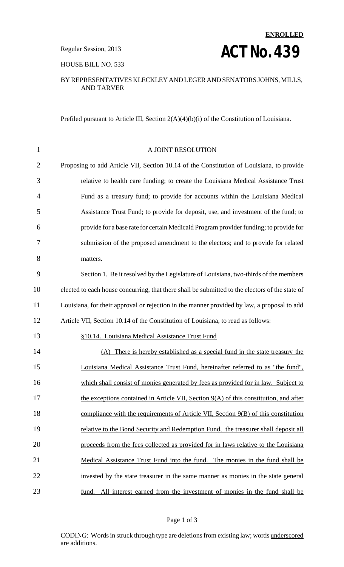# **ENROLLED Regular Session, 2013 ACT NO. 439**

HOUSE BILL NO. 533

#### BY REPRESENTATIVES KLECKLEY AND LEGER AND SENATORS JOHNS, MILLS, AND TARVER

Prefiled pursuant to Article III, Section 2(A)(4)(b)(i) of the Constitution of Louisiana.

| $\mathbf{1}$   | A JOINT RESOLUTION                                                                              |
|----------------|-------------------------------------------------------------------------------------------------|
| $\overline{2}$ | Proposing to add Article VII, Section 10.14 of the Constitution of Louisiana, to provide        |
| 3              | relative to health care funding; to create the Louisiana Medical Assistance Trust               |
| $\overline{4}$ | Fund as a treasury fund; to provide for accounts within the Louisiana Medical                   |
| 5              | Assistance Trust Fund; to provide for deposit, use, and investment of the fund; to              |
| 6              | provide for a base rate for certain Medicaid Program provider funding; to provide for           |
| 7              | submission of the proposed amendment to the electors; and to provide for related                |
| 8              | matters.                                                                                        |
| 9              | Section 1. Be it resolved by the Legislature of Louisiana, two-thirds of the members            |
| 10             | elected to each house concurring, that there shall be submitted to the electors of the state of |
| 11             | Louisiana, for their approval or rejection in the manner provided by law, a proposal to add     |
| 12             | Article VII, Section 10.14 of the Constitution of Louisiana, to read as follows:                |
| 13             | §10.14. Louisiana Medical Assistance Trust Fund                                                 |
| 14             | (A) There is hereby established as a special fund in the state treasury the                     |
| 15             | Louisiana Medical Assistance Trust Fund, hereinafter referred to as "the fund",                 |
| 16             | which shall consist of monies generated by fees as provided for in law. Subject to              |
| 17             | the exceptions contained in Article VII, Section 9(A) of this constitution, and after           |
| 18             | compliance with the requirements of Article VII, Section 9(B) of this constitution              |
| 19             | relative to the Bond Security and Redemption Fund, the treasurer shall deposit all              |
| 20             | proceeds from the fees collected as provided for in laws relative to the Louisiana              |
| 21             | Medical Assistance Trust Fund into the fund. The monies in the fund shall be                    |
| 22             | invested by the state treasurer in the same manner as monies in the state general               |
| 23             | fund. All interest earned from the investment of monies in the fund shall be                    |

#### Page 1 of 3

CODING: Words in struck through type are deletions from existing law; words underscored are additions.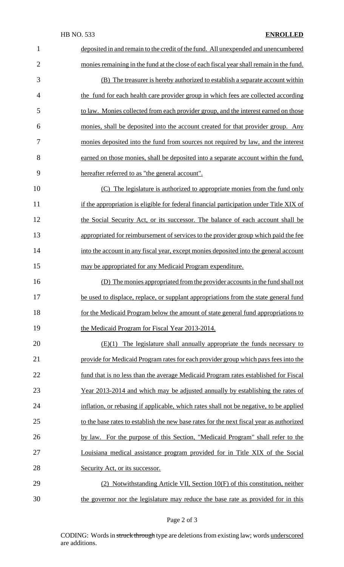| $\mathbf{1}$   | deposited in and remain to the credit of the fund. All unexpended and unencumbered       |
|----------------|------------------------------------------------------------------------------------------|
| $\overline{2}$ | monies remaining in the fund at the close of each fiscal year shall remain in the fund.  |
| 3              | (B) The treasurer is hereby authorized to establish a separate account within            |
| $\overline{4}$ | the fund for each health care provider group in which fees are collected according       |
| 5              | to law. Monies collected from each provider group, and the interest earned on those      |
| 6              | monies, shall be deposited into the account created for that provider group. Any         |
| 7              | monies deposited into the fund from sources not required by law, and the interest        |
| 8              | earned on those monies, shall be deposited into a separate account within the fund,      |
| 9              | hereafter referred to as "the general account".                                          |
| 10             | (C) The legislature is authorized to appropriate monies from the fund only               |
| 11             | if the appropriation is eligible for federal financial participation under Title XIX of  |
| 12             | the Social Security Act, or its successor. The balance of each account shall be          |
| 13             | appropriated for reimbursement of services to the provider group which paid the fee      |
| 14             | into the account in any fiscal year, except monies deposited into the general account    |
| 15             | may be appropriated for any Medicaid Program expenditure.                                |
| 16             | (D) The monies appropriated from the provider accounts in the fund shall not             |
| 17             | be used to displace, replace, or supplant appropriations from the state general fund     |
| 18             | for the Medicaid Program below the amount of state general fund appropriations to        |
| 19             | the Medicaid Program for Fiscal Year 2013-2014.                                          |
| 20             | $(E)(1)$ The legislature shall annually appropriate the funds necessary to               |
| 21             | provide for Medicaid Program rates for each provider group which pays fees into the      |
| 22             | fund that is no less than the average Medicaid Program rates established for Fiscal      |
| 23             | Year 2013-2014 and which may be adjusted annually by establishing the rates of           |
| 24             | inflation, or rebasing if applicable, which rates shall not be negative, to be applied   |
| 25             | to the base rates to establish the new base rates for the next fiscal year as authorized |
| 26             | by law. For the purpose of this Section, "Medicaid Program" shall refer to the           |
| 27             | Louisiana medical assistance program provided for in Title XIX of the Social             |
| 28             | Security Act, or its successor.                                                          |
| 29             | (2) Notwithstanding Article VII, Section 10(F) of this constitution, neither             |
| 30             | the governor nor the legislature may reduce the base rate as provided for in this        |

CODING: Words in struck through type are deletions from existing law; words underscored are additions.